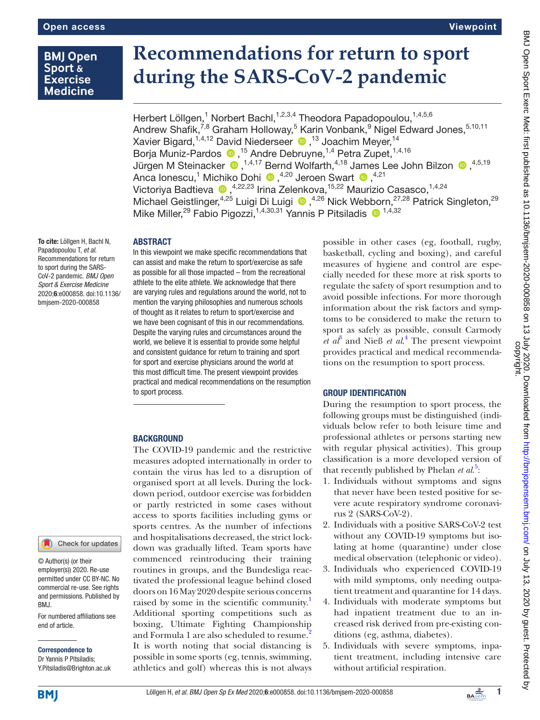# **BMJ Open** Sport & **Exercise Medicine**

# **Recommendations for return to sport during the SARS-CoV-2 pandemic**

Herbert Löllgen,<sup>1</sup> Norbert Bachl,<sup>1,2,3,4</sup> Theodora Papadopoulou,<sup>1,4,5,6</sup> Andrew Shafik, $^{7,8}$  Graham Holloway, $^5$  Karin Vonbank, $^9$  Nigel Edward Jones, $^{5,10,11}$ XavierBigard,<sup>1,4,12</sup> David Niederseer <sup>1,13</sup> Joachim Meyer,<sup>14</sup> BorjaMuniz-Pardos <sup>1,5</sup> Andre Debruyne,<sup>1,4</sup> Petra Zupet,<sup>1,4,16</sup> JürgenM Steinacker  $\bigcirc$  , <sup>1,4,17</sup> Bernd Wolfarth, <sup>4,18</sup> James Lee John Bilzon  $\bigcirc$  , <sup>4,5,19</sup> AncaIonescu,<sup>1</sup> Michiko Dohi (D, <sup>4,20</sup> Jeroen Swart (D, <sup>4,21</sup>) Victoriya Badtieva (D, 4,22,23 Irina Zelenkova, 15,22 Maurizio Casasco, 1,4,24 MichaelGeistlinger,<sup>4,25</sup> Luigi Di Luigi <sup>(0,4,26</sup> Nick Webborn,<sup>27,28</sup> Patrick Singleton,<sup>29</sup> Mike Miller,<sup>29</sup> Fabio Pigozzi,<sup>1,4,30,31</sup> Yannis P Pitsiladis <sup>1,4,32</sup>

To cite: Löllgen H, Bachl N, Papadopoulou T, *et al*. Recommendations for return to sport during the SARS-CoV-2 pandemic. *BMJ Open Sport & Exercise Medicine* 2020;6:e000858. doi:10.1136/ bmjsem-2020-000858

# ABSTRACT

In this viewpoint we make specific recommendations that can assist and make the return to sport/exercise as safe as possible for all those impacted – from the recreational athlete to the elite athlete. We acknowledge that there are varying rules and regulations around the world, not to mention the varying philosophies and numerous schools of thought as it relates to return to sport/exercise and we have been cognisant of this in our recommendations. Despite the varying rules and circumstances around the world, we believe it is essential to provide some helpful and consistent guidance for return to training and sport for sport and exercise physicians around the world at this most difficult time. The present viewpoint provides practical and medical recommendations on the resumption to sport process.

The COVID-19 pandemic and the restrictive measures adopted internationally in order to contain the virus has led to a disruption of organised sport at all levels. During the lockdown period, outdoor exercise was forbidden or partly restricted in some cases without access to sports facilities including gyms or sports centres. As the number of infections and hospitalisations decreased, the strict lockdown was gradually lifted. Team sports have commenced reintroducing their training routines in groups, and the Bundesliga reactivated the professional league behind closed doors on 16 May 2020 despite serious concerns raised by some in the scientific community.<sup>1</sup> Additional sporting competitions such as boxing, Ultimate Fighting Championship and Formula 1 are also scheduled to resume.<sup>2</sup> It is worth noting that social distancing is possible in some sports (eg, tennis, swimming, athletics and golf) whereas this is not always

possible in other cases (eg, football, rugby, basketball, cycling and boxing), and careful measures of hygiene and control are especially needed for these more at risk sports to regulate the safety of sport resumption and to avoid possible infections. For more thorough information about the risk factors and symptoms to be considered to make the return to sport as safely as possible, consult Carmody  $et\ a^{\beta}$  and Nieß  $et\ aL^4$  The present viewpoint provides practical and medical recommendations on the resumption to sport process.

# GROUP IDENTIFICATION

During the resumption to sport process, the following groups must be distinguished (individuals below refer to both leisure time and professional athletes or persons starting new with regular physical activities). This group classification is a more developed version of that recently published by Phelan *et al.*<sup>5</sup>:

- 1. Individuals without symptoms and signs that never have been tested positive for severe acute respiratory syndrome coronavirus 2 (SARS-CoV-2).
- 2. Individuals with a positive SARS-CoV-2 test without any COVID-19 symptoms but isolating at home (quarantine) under close medical observation (telephonic or video).
- 3. Individuals who experienced COVID-19 with mild symptoms, only needing outpatient treatment and quarantine for 14 days.
- 4. Individuals with moderate symptoms but had inpatient treatment due to an increased risk derived from pre-existing conditions (eg, asthma, diabetes).
- 5. Individuals with severe symptoms, inpatient treatment, including intensive care without artificial respiration.

**BACKGROUND** 

Check for updates

© Author(s) (or their employer(s)) 2020. Re-use permitted under CC BY-NC. No commercial re-use. See rights and permissions. Published by BMJ.

For numbered affiliations see end of article.

Correspondence to Dr Yannis P Pitsiladis; Y.Pitsiladis@Brighton.ac.uk

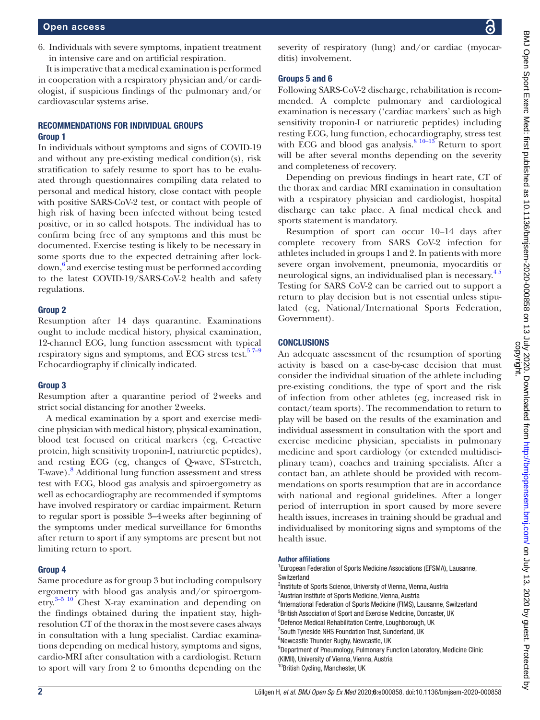6. Individuals with severe symptoms, inpatient treatment in intensive care and on artificial respiration.

It is imperative that a medical examination is performed in cooperation with a respiratory physician and/or cardiologist, if suspicious findings of the pulmonary and/or cardiovascular systems arise.

# RECOMMENDATIONS FOR INDIVIDUAL GROUPS Group 1

In individuals without symptoms and signs of COVID-19 and without any pre-existing medical condition(s), risk stratification to safely resume to sport has to be evaluated through questionnaires compiling data related to personal and medical history, close contact with people with positive SARS-CoV-2 test, or contact with people of high risk of having been infected without being tested positive, or in so called hotspots. The individual has to confirm being free of any symptoms and this must be documented. Exercise testing is likely to be necessary in some sports due to the expected detraining after lockdown, <sup>6</sup> and exercise testing must be performed according to the latest COVID-19/SARS-CoV-2 health and safety regulations.

#### Group 2

Resumption after 14 days quarantine. Examinations ought to include medical history, physical examination, 12-channel ECG, lung function assessment with typical respiratory signs and symptoms, and ECG stress test. $57-9$ Echocardiography if clinically indicated.

#### Group 3

Resumption after a quarantine period of 2weeks and strict social distancing for another 2weeks.

A medical examination by a sport and exercise medicine physician with medical history, physical examination, blood test focused on critical markers (eg, C-reactive protein, high sensitivity troponin-I, natriuretic peptides), and resting ECG (eg, changes of Q-wave, ST-stretch, T-wave).<sup>[8](#page-2-1)</sup> Additional lung function assessment and stress test with ECG, blood gas analysis and spiroergometry as well as echocardiography are recommended if symptoms have involved respiratory or cardiac impairment. Return to regular sport is possible 3–4weeks after beginning of the symptoms under medical surveillance for 6months after return to sport if any symptoms are present but not limiting return to sport.

# Group 4

Same procedure as for group 3 but including compulsory ergometry with blood gas analysis and/or spiroergometry.[3–5 10](#page-2-2) Chest X-ray examination and depending on the findings obtained during the inpatient stay, highresolution CT of the thorax in the most severe cases always in consultation with a lung specialist. Cardiac examinations depending on medical history, symptoms and signs, cardio-MRI after consultation with a cardiologist. Return to sport will vary from 2 to 6months depending on the

severity of respiratory (lung) and/or cardiac (myocarditis) involvement.

# Groups 5 and 6

Following SARS-CoV-2 discharge, rehabilitation is recommended. A complete pulmonary and cardiological examination is necessary ('cardiac markers' such as high sensitivity troponin-I or natriuretic peptides) including resting ECG, lung function, echocardiography, stress test with ECG and blood gas analysis. $8^{10-13}$  Return to sport will be after several months depending on the severity and completeness of recovery.

Depending on previous findings in heart rate, CT of the thorax and cardiac MRI examination in consultation with a respiratory physician and cardiologist, hospital discharge can take place. A final medical check and sports statement is mandatory.

Resumption of sport can occur 10–14 days after complete recovery from SARS CoV-2 infection for athletes included in groups 1 and 2. In patients with more severe organ involvement, pneumonia, myocarditis or neurological signs, an individualised plan is necessary.<sup>45</sup> Testing for SARS CoV-2 can be carried out to support a return to play decision but is not essential unless stipulated (eg, National/International Sports Federation, Government).

# **CONCLUSIONS**

An adequate assessment of the resumption of sporting activity is based on a case-by-case decision that must consider the individual situation of the athlete including pre-existing conditions, the type of sport and the risk of infection from other athletes (eg, increased risk in contact/team sports). The recommendation to return to play will be based on the results of the examination and individual assessment in consultation with the sport and exercise medicine physician, specialists in pulmonary medicine and sport cardiology (or extended multidisciplinary team), coaches and training specialists. After a contact ban, an athlete should be provided with recommendations on sports resumption that are in accordance with national and regional guidelines. After a longer period of interruption in sport caused by more severe health issues, increases in training should be gradual and individualised by monitoring signs and symptoms of the health issue.

#### Author affiliations

<sup>1</sup> European Federation of Sports Medicine Associations (EFSMA), Lausanne, Switzerland <sup>2</sup>Institute of Sports Science, University of Vienna, Vienna, Austria <sup>3</sup>Austrian Institute of Sports Medicine, Vienna, Austria 4 International Federation of Sports Medicine (FIMS), Lausanne, Switzerland 5 British Association of Sport and Exercise Medicine, Doncaster, UK <sup>6</sup>Defence Medical Rehabilitation Centre, Loughborough, UK <sup>7</sup> South Tyneside NHS Foundation Trust, Sunderland, UK 8 Newcastle Thunder Rugby, Newcastle, UK <sup>9</sup>Department of Pneumology, Pulmonary Function Laboratory, Medicine Clinic (KIMII), University of Vienna, Vienna, Austria <sup>10</sup>British Cycling, Manchester, UK